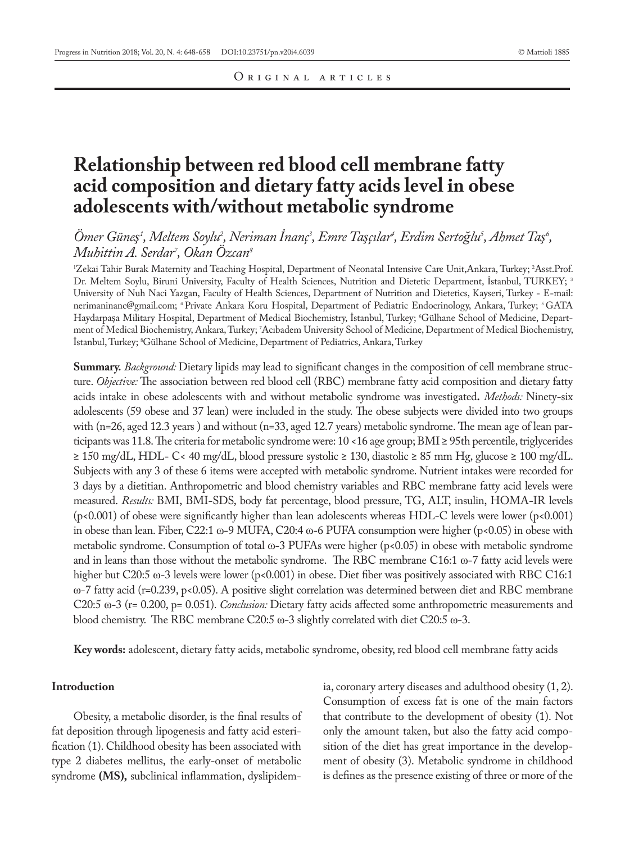# **Relationship between red blood cell membrane fatty acid composition and dietary fatty acids level in obese adolescents with/without metabolic syndrome**

# *Ömer Güneş<sup>1</sup> , Meltem Soylu2 , Neriman İnanç3 , Emre Taşçılar4 , Erdim Sertoğlu5 , Ahmet Taş<sup>6</sup> , Muhittin A. Serdar7 , Okan Özcan8*

'Zekai Tahir Burak Maternity and Teaching Hospital, Department of Neonatal Intensive Care Unit,Ankara, Turkey; <sup>2</sup>Asst.Prof. Dr. Meltem Soylu, Biruni University, Faculty of Health Sciences, Nutrition and Dietetic Department, İstanbul, TURKEY; 3 University of Nuh Naci Yazgan, Faculty of Health Sciences, Department of Nutrition and Dietetics, Kayseri, Turkey - E-mail: nerimaninanc@gmail.com; 4 Private Ankara Koru Hospital, Department of Pediatric Endocrinology, Ankara, Turkey; 5 GATA Haydarpaşa Military Hospital, Department of Medical Biochemistry, Istanbul, Turkey; 'Gülhane School of Medicine, Department of Medical Biochemistry, Ankara, Turkey; 7 Acıbadem University School of Medicine, Department of Medical Biochemistry, İstanbul, Turkey; 8 Gülhane School of Medicine, Department of Pediatrics, Ankara, Turkey

**Summary.** *Background:* Dietary lipids may lead to significant changes in the composition of cell membrane structure. *Objective:* The association between red blood cell (RBC) membrane fatty acid composition and dietary fatty acids intake in obese adolescents with and without metabolic syndrome was investigated**.** *Methods:* Ninety-six adolescents (59 obese and 37 lean) were included in the study. The obese subjects were divided into two groups with (n=26, aged 12.3 years ) and without (n=33, aged 12.7 years) metabolic syndrome. The mean age of lean participants was 11.8. The criteria for metabolic syndrome were: 10 <16 age group; BMI ≥ 95th percentile, triglycerides ≥ 150 mg/dL, HDL- C< 40 mg/dL, blood pressure systolic ≥ 130, diastolic ≥ 85 mm Hg, glucose ≥ 100 mg/dL. Subjects with any 3 of these 6 items were accepted with metabolic syndrome. Nutrient intakes were recorded for 3 days by a dietitian. Anthropometric and blood chemistry variables and RBC membrane fatty acid levels were measured. *Results:* BMI, BMI-SDS, body fat percentage, blood pressure, TG, ALT, insulin, HOMA-IR levels (p<0.001) of obese were significantly higher than lean adolescents whereas HDL-C levels were lower (p<0.001) in obese than lean. Fiber, C22:1 ω-9 MUFA, C20:4 ω-6 PUFA consumption were higher (p<0.05) in obese with metabolic syndrome. Consumption of total ω-3 PUFAs were higher (p<0.05) in obese with metabolic syndrome and in leans than those without the metabolic syndrome. The RBC membrane C16:1 ω-7 fatty acid levels were higher but C20:5 ω-3 levels were lower (p<0.001) in obese. Diet fiber was positively associated with RBC C16:1 ω-7 fatty acid (r=0.239, p<0.05). A positive slight correlation was determined between diet and RBC membrane C20:5 ω-3 (r= 0.200, p= 0.051). *Conclusion:* Dietary fatty acids affected some anthropometric measurements and blood chemistry. The RBC membrane C20:5 ω-3 slightly correlated with diet C20:5 ω-3.

**Key words:** adolescent, dietary fatty acids, metabolic syndrome, obesity, red blood cell membrane fatty acids

### **Introduction**

Obesity, a metabolic disorder, is the final results of fat deposition through lipogenesis and fatty acid esterification (1). Childhood obesity has been associated with type 2 diabetes mellitus, the early-onset of metabolic syndrome **(MS),** subclinical inflammation, dyslipidemia, coronary artery diseases and adulthood obesity (1, 2). Consumption of excess fat is one of the main factors that contribute to the development of obesity (1). Not only the amount taken, but also the fatty acid composition of the diet has great importance in the development of obesity (3). Metabolic syndrome in childhood is defines as the presence existing of three or more of the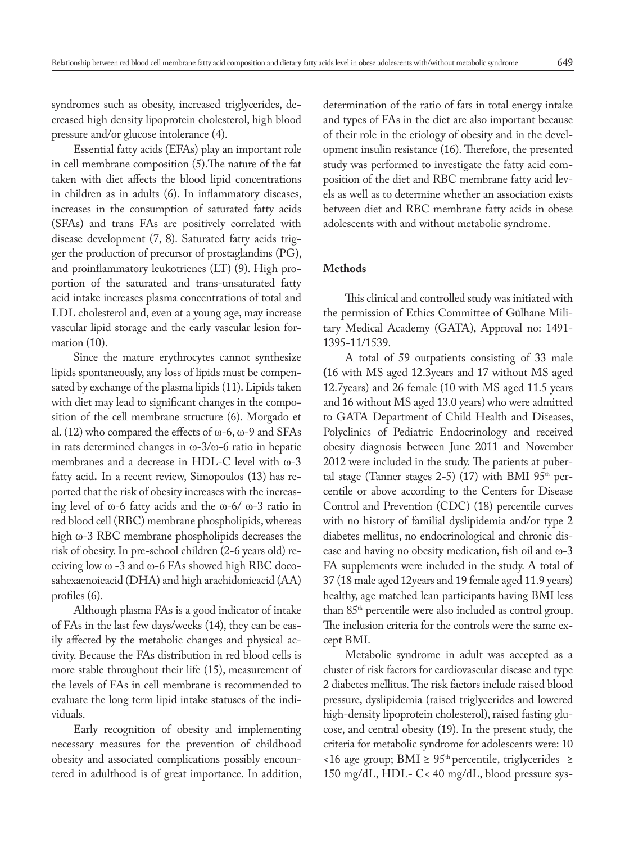syndromes such as obesity, increased triglycerides, decreased high density lipoprotein cholesterol, high blood pressure and/or glucose intolerance (4).

Essential fatty acids (EFAs) play an important role in cell membrane composition (5).The nature of the fat taken with diet affects the blood lipid concentrations in children as in adults (6). In inflammatory diseases, increases in the consumption of saturated fatty acids (SFAs) and trans FAs are positively correlated with disease development (7, 8). Saturated fatty acids trigger the production of precursor of prostaglandins (PG), and proinflammatory leukotrienes (LT) (9). High proportion of the saturated and trans-unsaturated fatty acid intake increases plasma concentrations of total and LDL cholesterol and, even at a young age, may increase vascular lipid storage and the early vascular lesion formation (10).

Since the mature erythrocytes cannot synthesize lipids spontaneously, any loss of lipids must be compensated by exchange of the plasma lipids (11). Lipids taken with diet may lead to significant changes in the composition of the cell membrane structure (6). Morgado et al. (12) who compared the effects of  $\omega$ -6,  $\omega$ -9 and SFAs in rats determined changes in ω-3/ω-6 ratio in hepatic membranes and a decrease in HDL-C level with ω-3 fatty acid**.** In a recent review, Simopoulos (13) has reported that the risk of obesity increases with the increasing level of ω-6 fatty acids and the ω-6/ ω-3 ratio in red blood cell (RBC) membrane phospholipids, whereas high ω-3 RBC membrane phospholipids decreases the risk of obesity. In pre-school children (2-6 years old) receiving low ω -3 and ω-6 FAs showed high RBC docosahexaenoicacid (DHA) and high arachidonicacid (AA) profiles (6).

Although plasma FAs is a good indicator of intake of FAs in the last few days/weeks (14), they can be easily affected by the metabolic changes and physical activity. Because the FAs distribution in red blood cells is more stable throughout their life (15), measurement of the levels of FAs in cell membrane is recommended to evaluate the long term lipid intake statuses of the individuals.

Early recognition of obesity and implementing necessary measures for the prevention of childhood obesity and associated complications possibly encountered in adulthood is of great importance. In addition, determination of the ratio of fats in total energy intake and types of FAs in the diet are also important because of their role in the etiology of obesity and in the development insulin resistance (16). Therefore, the presented study was performed to investigate the fatty acid composition of the diet and RBC membrane fatty acid levels as well as to determine whether an association exists between diet and RBC membrane fatty acids in obese adolescents with and without metabolic syndrome.

# **Methods**

This clinical and controlled study was initiated with the permission of Ethics Committee of Gülhane Military Medical Academy (GATA), Approval no: 1491- 1395-11/1539.

A total of 59 outpatients consisting of 33 male **(**16 with MS aged 12.3years and 17 without MS aged 12.7years) and 26 female (10 with MS aged 11.5 years and 16 without MS aged 13.0 years) who were admitted to GATA Department of Child Health and Diseases, Polyclinics of Pediatric Endocrinology and received obesity diagnosis between June 2011 and November 2012 were included in the study. The patients at pubertal stage (Tanner stages 2-5) (17) with BMI 95<sup>th</sup> percentile or above according to the Centers for Disease Control and Prevention (CDC) (18) percentile curves with no history of familial dyslipidemia and/or type 2 diabetes mellitus, no endocrinological and chronic disease and having no obesity medication, fish oil and ω-3 FA supplements were included in the study. A total of 37 (18 male aged 12years and 19 female aged 11.9 years) healthy, age matched lean participants having BMI less than 85<sup>th</sup> percentile were also included as control group. The inclusion criteria for the controls were the same except BMI.

Metabolic syndrome in adult was accepted as a cluster of risk factors for cardiovascular disease and type 2 diabetes mellitus. The risk factors include raised blood pressure, dyslipidemia (raised triglycerides and lowered high-density lipoprotein cholesterol), raised fasting glucose, and central obesity (19). In the present study, the criteria for metabolic syndrome for adolescents were: 10 <16 age group; BMI ≥ 95th percentile, triglycerides ≥ 150 mg/dL, HDL- C< 40 mg/dL, blood pressure sys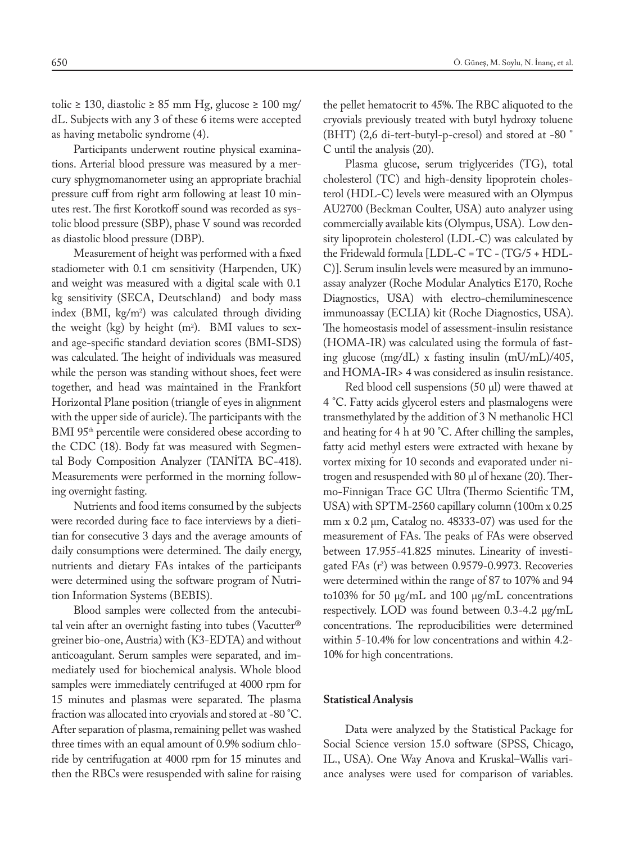tolic ≥ 130, diastolic ≥ 85 mm Hg, glucose ≥ 100 mg/ dL. Subjects with any 3 of these 6 items were accepted as having metabolic syndrome (4).

Participants underwent routine physical examinations. Arterial blood pressure was measured by a mercury sphygmomanometer using an appropriate brachial pressure cuff from right arm following at least 10 minutes rest. The first Korotkoff sound was recorded as systolic blood pressure (SBP), phase V sound was recorded as diastolic blood pressure (DBP).

Measurement of height was performed with a fixed stadiometer with 0.1 cm sensitivity (Harpenden, UK) and weight was measured with a digital scale with 0.1 kg sensitivity (SECA, Deutschland) and body mass index (BMI,  $\text{kg/m}^2$ ) was calculated through dividing the weight (kg) by height  $(m^2)$ . BMI values to sexand age-specific standard deviation scores (BMI-SDS) was calculated. The height of individuals was measured while the person was standing without shoes, feet were together, and head was maintained in the Frankfort Horizontal Plane position (triangle of eyes in alignment with the upper side of auricle). The participants with the BMI 95<sup>th</sup> percentile were considered obese according to the CDC (18). Body fat was measured with Segmental Body Composition Analyzer (TANİTA BC-418). Measurements were performed in the morning following overnight fasting.

Nutrients and food items consumed by the subjects were recorded during face to face interviews by a dietitian for consecutive 3 days and the average amounts of daily consumptions were determined. The daily energy, nutrients and dietary FAs intakes of the participants were determined using the software program of Nutrition Information Systems (BEBIS).

Blood samples were collected from the antecubital vein after an overnight fasting into tubes (Vacutter® greiner bio-one, Austria) with (K3-EDTA) and without anticoagulant. Serum samples were separated, and immediately used for biochemical analysis. Whole blood samples were immediately centrifuged at 4000 rpm for 15 minutes and plasmas were separated. The plasma fraction was allocated into cryovials and stored at -80 °C. After separation of plasma, remaining pellet was washed three times with an equal amount of 0.9% sodium chloride by centrifugation at 4000 rpm for 15 minutes and then the RBCs were resuspended with saline for raising the pellet hematocrit to 45%. The RBC aliquoted to the cryovials previously treated with butyl hydroxy toluene (BHT) (2,6 di-tert-butyl-p-cresol) and stored at -80 ° C until the analysis (20).

Plasma glucose, serum triglycerides (TG), total cholesterol (TC) and high-density lipoprotein cholesterol (HDL-C) levels were measured with an Olympus AU2700 (Beckman Coulter, USA) auto analyzer using commercially available kits (Olympus, USA). Low density lipoprotein cholesterol (LDL-C) was calculated by the Fridewald formula [LDL-C = TC - (TG/5 + HDL-C)]. Serum insulin levels were measured by an immunoassay analyzer (Roche Modular Analytics E170, Roche Diagnostics, USA) with electro-chemiluminescence immunoassay (ECLIA) kit (Roche Diagnostics, USA). The homeostasis model of assessment-insulin resistance (HOMA-IR) was calculated using the formula of fasting glucose (mg/dL) x fasting insulin (mU/mL)/405, and HOMA-IR> 4 was considered as insulin resistance.

Red blood cell suspensions  $(50 \mu l)$  were thawed at 4 °C. Fatty acids glycerol esters and plasmalogens were transmethylated by the addition of 3 N methanolic HCl and heating for 4 h at 90 °C. After chilling the samples, fatty acid methyl esters were extracted with hexane by vortex mixing for 10 seconds and evaporated under nitrogen and resuspended with 80 µl of hexane (20).Thermo-Finnigan Trace GC Ultra (Thermo Scientific TM, USA) with SPTM-2560 capillary column (100m x 0.25 mm x 0.2 μm, Catalog no. 48333-07) was used for the measurement of FAs. The peaks of FAs were observed between 17.955-41.825 minutes. Linearity of investigated FAs (r<sup>2</sup>) was between 0.9579-0.9973. Recoveries were determined within the range of 87 to 107% and 94 to103% for 50 µg/mL and 100 µg/mL concentrations respectively. LOD was found between 0.3-4.2 µg/mL concentrations. The reproducibilities were determined within 5-10.4% for low concentrations and within 4.2- 10% for high concentrations.

#### **Statistical Analysis**

Data were analyzed by the Statistical Package for Social Science version 15.0 software (SPSS, Chicago, IL., USA). One Way Anova and Kruskal–Wallis variance analyses were used for comparison of variables.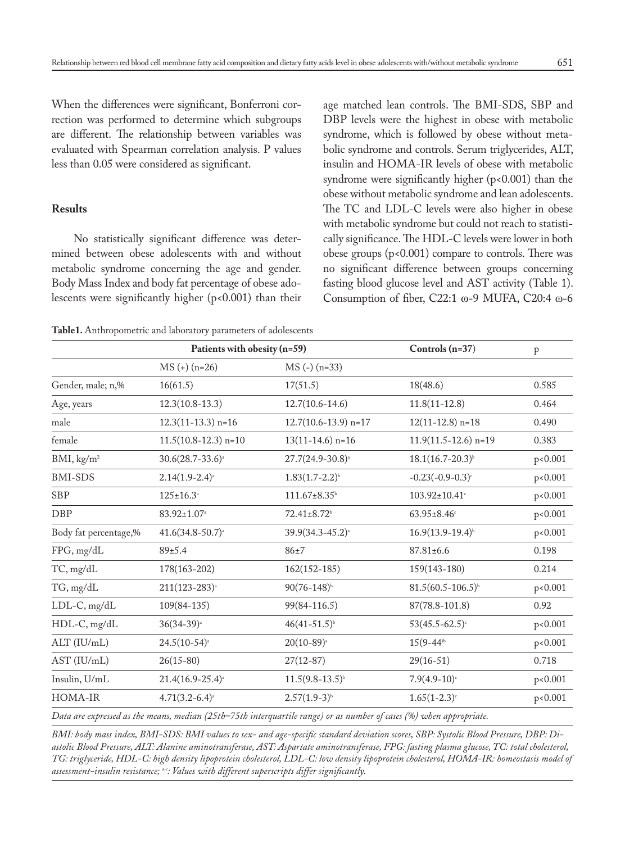When the differences were significant, Bonferroni correction was performed to determine which subgroups are different. The relationship between variables was evaluated with Spearman correlation analysis. P values less than 0.05 were considered as significant.

## **Results**

No statistically significant difference was determined between obese adolescents with and without metabolic syndrome concerning the age and gender. Body Mass Index and body fat percentage of obese adolescents were significantly higher (p<0.001) than their age matched lean controls. The BMI-SDS, SBP and DBP levels were the highest in obese with metabolic syndrome, which is followed by obese without metabolic syndrome and controls. Serum triglycerides, ALT, insulin and HOMA-IR levels of obese with metabolic syndrome were significantly higher (p<0.001) than the obese without metabolic syndrome and lean adolescents. The TC and LDL-C levels were also higher in obese with metabolic syndrome but could not reach to statistically significance. The HDL-C levels were lower in both obese groups (p<0.001) compare to controls. There was no significant difference between groups concerning fasting blood glucose level and AST activity (Table 1). Consumption of fiber, C22:1 ω-9 MUFA, C20:4 ω-6

**Table1.** Anthropometric and laboratory parameters of adolescents

|                        | Patients with obesity (n=59) |                                                                                                                    | Controls (n=37)                | $\, {\bf p}$ |
|------------------------|------------------------------|--------------------------------------------------------------------------------------------------------------------|--------------------------------|--------------|
|                        | $MS (+) (n=26)$              | $MS(-)$ (n=33)                                                                                                     |                                |              |
| Gender, male; n,%      | 16(61.5)                     | 17(51.5)                                                                                                           | 18(48.6)                       | 0.585        |
| Age, years             | $12.3(10.8-13.3)$            | $12.7(10.6 - 14.6)$                                                                                                | $11.8(11-12.8)$                | 0.464        |
| male                   | $12.3(11-13.3)$ n=16         | $12.7(10.6-13.9)$ n=17                                                                                             | $12(11-12.8)$ n=18             | 0.490        |
| female                 | $11.5(10.8-12.3)$ n=10       | $13(11-14.6)$ n=16                                                                                                 | $11.9(11.5-12.6)$ n=19         | 0.383        |
| BMI, kg/m <sup>2</sup> | $30.6(28.7 - 33.6)^{a}$      | $27.7(24.9 - 30.8)^{a}$                                                                                            | $18.1(16.7 - 20.3)^{b}$        | p<0.001      |
| <b>BMI-SDS</b>         | $2.14(1.9-2.4)^{a}$          | $1.83(1.7-2.2)^{b}$                                                                                                | $-0.23(-0.9-0.3)^{c}$          | p<0.001      |
| <b>SBP</b>             | $125 \pm 16.3^{\circ}$       | 111.67±8.35 <sup>b</sup>                                                                                           | 103.92±10.41 <sup>c</sup>      | p<0.001      |
| <b>DBP</b>             | 83.92±1.07 <sup>a</sup>      | 72.41±8.72 <sup>b</sup>                                                                                            | $63.95 \pm 8.46$ c             | p<0.001      |
| Body fat percentage,%  | $41.6(34.8 - 50.7)^{a}$      | 39.9(34.3-45.2) <sup>a</sup>                                                                                       | $16.9(13.9-19.4)^{b}$          | p<0.001      |
| FPG, mg/dL             | 89±5.4                       | $86 + 7$                                                                                                           | $87.81 \pm 6.6$                | 0.198        |
| TC, mg/dL              | 178(163-202)                 | $162(152-185)$                                                                                                     | 159(143-180)                   | 0.214        |
| TG, mg/dL              | $211(123-283)^{a}$           | $90(76 - 148)^{b}$                                                                                                 | $81.5(60.5 - 106.5)^{b}$       | p<0.001      |
| LDL-C, mg/dL           | $109(84-135)$                | 99(84-116.5)                                                                                                       | 87(78.8-101.8)                 | 0.92         |
| HDL-C, mg/dL           | $36(34-39)^{a}$              | $46(41-51.5)^{b}$                                                                                                  | $53(45.5 - 62.5)$ <sup>c</sup> | p<0.001      |
| ALT (IU/mL)            | $24.5(10-54)$ <sup>a</sup>   | $20(10-89)$ <sup>a</sup>                                                                                           | $15(9-44)$ <sup>b</sup>        | p<0.001      |
| AST (IU/mL)            | $26(15-80)$                  | $27(12-87)$                                                                                                        | $29(16-51)$                    | 0.718        |
| Insulin, U/mL          | $21.4(16.9 - 25.4)^{a}$      | $11.5(9.8-13.5)^{b}$                                                                                               | $7.9(4.9-10)$ c                | p<0.001      |
| HOMA-IR                | $4.71(3.2-6.4)^{a}$          | $2.57(1.9-3)^{b}$                                                                                                  | $1.65(1-2.3)$ <sup>c</sup>     | p<0.001      |
|                        |                              | Data are empressed as the means, median (25th-75th intergravile range) or as number of cases (%) suben appropriate |                                |              |

*Data are expressed as the means, median (25th–75th interquartile range) or as number of cases (%) when appropriate.*

*BMI: body mass index, BMI-SDS: BMI values to sex- and age-specific standard deviation scores, SBP: Systolic Blood Pressure, DBP: Diastolic Blood Pressure, ALT: Alanine aminotransferase, AST: Aspartate aminotransferase, FPG: fasting plasma glucose, TC: total cholesterol, TG: triglyceride, HDL-C: high density lipoprotein cholesterol, LDL-C: low density lipoprotein cholesterol, HOMA-IR: homeostasis model of assessment-insulin resistance; a-c: Values with different superscripts differ significantly.*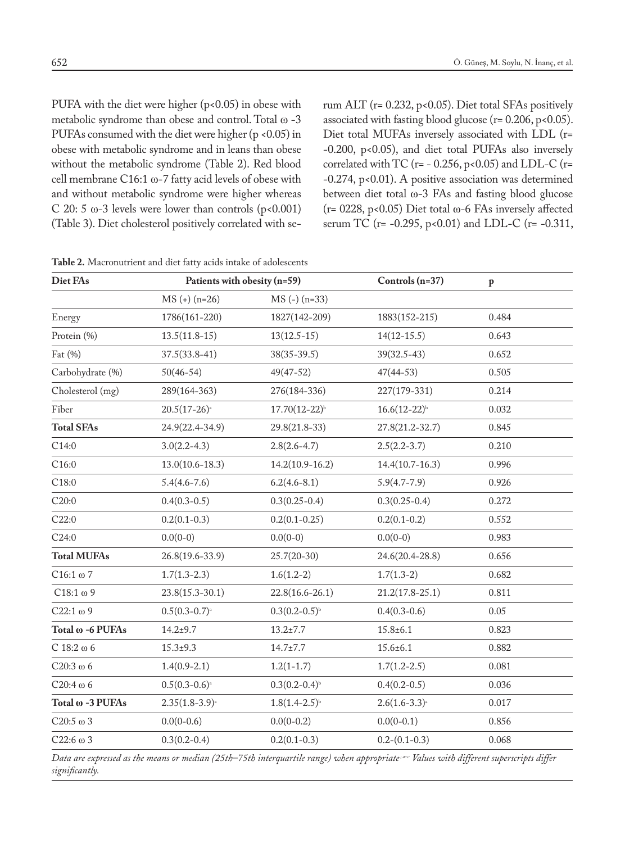PUFA with the diet were higher (p<0.05) in obese with metabolic syndrome than obese and control. Total ω -3 PUFAs consumed with the diet were higher (p <0.05) in obese with metabolic syndrome and in leans than obese without the metabolic syndrome (Table 2). Red blood cell membrane C16:1 ω-7 fatty acid levels of obese with and without metabolic syndrome were higher whereas C 20: 5  $\omega$ -3 levels were lower than controls (p<0.001) (Table 3). Diet cholesterol positively correlated with serum ALT (r= 0.232, p<0.05). Diet total SFAs positively associated with fasting blood glucose ( $r = 0.206$ ,  $p < 0.05$ ). Diet total MUFAs inversely associated with LDL (r= -0.200, p<0.05), and diet total PUFAs also inversely correlated with TC ( $r = -0.256$ ,  $p < 0.05$ ) and LDL-C ( $r =$ -0.274, p<0.01). A positive association was determined between diet total ω-3 FAs and fasting blood glucose (r= 0228, p<0.05) Diet total ω-6 FAs inversely affected serum TC (r= -0.295, p<0.01) and LDL-C (r= -0.311,

| Diet FAs            | Patients with obesity (n=59) |                             | Controls (n=37)     | $\mathbf{p}$ |  |
|---------------------|------------------------------|-----------------------------|---------------------|--------------|--|
|                     | $MS (+) (n=26)$              | $MS(-)(n=33)$               |                     |              |  |
| Energy              | 1786(161-220)                | 1827(142-209)               | 1883(152-215)       | 0.484        |  |
| Protein (%)         | $13.5(11.8-15)$              | $13(12.5-15)$               | $14(12-15.5)$       | 0.643        |  |
| Fat (%)             | $37.5(33.8-41)$              | $38(35-39.5)$               | $39(32.5-43)$       | 0.652        |  |
| Carbohydrate (%)    | $50(46-54)$                  | 49(47-52)                   | $47(44-53)$         | 0.505        |  |
| Cholesterol (mg)    | 289(164-363)                 | 276(184-336)                | 227(179-331)        | 0.214        |  |
| Fiber               | $20.5(17-26)^{a}$            | $17.70(12-22)^{b}$          | $16.6(12-22)^{b}$   | 0.032        |  |
| <b>Total SFAs</b>   | 24.9(22.4-34.9)              | 29.8(21.8-33)               | 27.8(21.2-32.7)     | 0.845        |  |
| C14:0               | $3.0(2.2 - 4.3)$             | $2.8(2.6 - 4.7)$            | $2.5(2.2 - 3.7)$    | 0.210        |  |
| C16:0               | $13.0(10.6 - 18.3)$          | $14.2(10.9 - 16.2)$         | $14.4(10.7-16.3)$   | 0.996        |  |
| C18:0               | $5.4(4.6 - 7.6)$             | $6.2(4.6 - 8.1)$            | $5.9(4.7 - 7.9)$    | 0.926        |  |
| C20:0               | $0.4(0.3-0.5)$               | $0.3(0.25 - 0.4)$           | $0.3(0.25 - 0.4)$   | 0.272        |  |
| C22:0               | $0.2(0.1 - 0.3)$             | $0.2(0.1 - 0.25)$           | $0.2(0.1 - 0.2)$    | 0.552        |  |
| C24:0               | $0.0(0-0)$                   | $0.0(0-0)$                  | $0.0(0-0)$          | 0.983        |  |
| <b>Total MUFAs</b>  | 26.8(19.6-33.9)              | $25.7(20-30)$               | 24.6(20.4-28.8)     | 0.656        |  |
| $C16:1 \omega$ 7    | $1.7(1.3 - 2.3)$             | $1.6(1.2-2)$                | $1.7(1.3-2)$        | 0.682        |  |
| $C18:1 \omega 9$    | $23.8(15.3 - 30.1)$          | $22.8(16.6 - 26.1)$         | $21.2(17.8 - 25.1)$ | 0.811        |  |
| $C22:1 \omega 9$    | $0.5(0.3-0.7)^{a}$           | $0.3(0.2-0.5)^{b}$          | $0.4(0.3-0.6)$      | 0.05         |  |
| Total ω -6 PUFAs    | $14.2 + 9.7$                 | $13.2 \pm 7.7$              | $15.8 \pm 6.1$      | 0.823        |  |
| $C$ 18:2 $\omega$ 6 | $15.3 + 9.3$                 | $14.7 \pm 7.7$              | $15.6 \pm 6.1$      | 0.882        |  |
| $C20:3\omega$ 6     | $1.4(0.9-2.1)$               | $1.2(1-1.7)$                | $1.7(1.2 - 2.5)$    | 0.081        |  |
| C20:4 $\omega$ 6    | $0.5(0.3-0.6)^{a}$           | $0.3(0.2-0.4)$ <sup>b</sup> | $0.4(0.2-0.5)$      | 0.036        |  |
| Total ω -3 PUFAs    | $2.35(1.8-3.9)^{a}$          | $1.8(1.4-2.5)^{b}$          | $2.6(1.6-3.3)^{a}$  | 0.017        |  |
| C20:5 $\omega$ 3    | $0.0(0-0.6)$                 | $0.0(0-0.2)$                | $0.0(0-0.1)$        | 0.856        |  |
| C22:6 $\omega$ 3    | $0.3(0.2 - 0.4)$             | $0.2(0.1 - 0.3)$            | $0.2-(0.1-0.3)$     | 0.068        |  |

**Table 2.** Macronutrient and diet fatty acids intake of adolescents

*Data are expressed as the means or median (25th–75th interquartile range) when appropriate.; a-c: Values with different superscripts differ significantly.*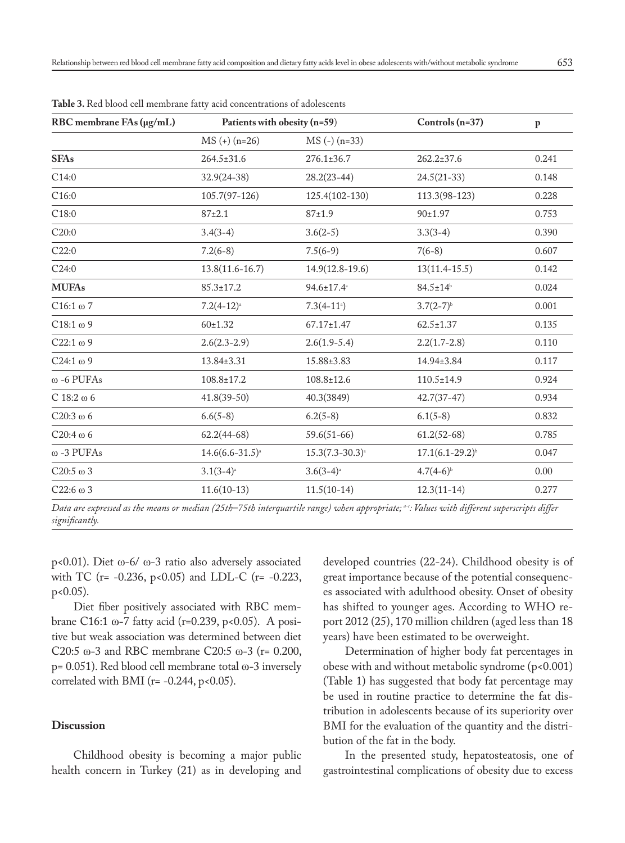| RBC membrane FAs (µg/mL) | Patients with obesity (n=59) |                              | Controls $(n=37)$       | $\, {\bf p}$ |
|--------------------------|------------------------------|------------------------------|-------------------------|--------------|
|                          | $MS (+) (n=26)$              | $MS(-)$ (n=33)               |                         |              |
| <b>SFAs</b>              | 264.5±31.6                   | $276.1 \pm 36.7$             | $262.2 \pm 37.6$        | 0.241        |
| C14:0                    | $32.9(24-38)$                | $28.2(23-44)$                | $24.5(21-33)$           | 0.148        |
| C16:0                    | $105.7(97-126)$              | 125.4(102-130)               | 113.3(98-123)           | 0.228        |
| C18:0                    | $87+2.1$                     | $87 + 1.9$                   | $90+1.97$               | 0.753        |
| C20:0                    | $3.4(3-4)$                   | $3.6(2-5)$                   | $3.3(3-4)$              | 0.390        |
| C22:0                    | $7.2(6-8)$                   | $7.5(6-9)$                   | $7(6-8)$                | 0.607        |
| C24:0                    | $13.8(11.6 - 16.7)$          | $14.9(12.8-19.6)$            | $13(11.4 - 15.5)$       | 0.142        |
| <b>MUFAs</b>             | $85.3 \pm 17.2$              | $94.6 \pm 17.4$ <sup>a</sup> | $84.5 \pm 14^{b}$       | 0.024        |
| $C16:1 \omega$ 7         | $7.2(4-12)^{3}$              | $7.3(4-11)$                  | $3.7(2-7)$ <sup>b</sup> | 0.001        |
| $C18:1 \omega 9$         | $60+1.32$                    | $67.17 \pm 1.47$             | $62.5 \pm 1.37$         | 0.135        |
| $C22:1 \omega 9$         | $2.6(2.3-2.9)$               | $2.6(1.9-5.4)$               | $2.2(1.7-2.8)$          | 0.110        |
| $C24:1 \omega 9$         | 13.84±3.31                   | 15.88±3.83                   | 14.94±3.84              | 0.117        |
| $\omega$ -6 PUFAs        | 108.8±17.2                   | $108.8 \pm 12.6$             | $110.5 \pm 14.9$        | 0.924        |
| $C$ 18:2 $\omega$ 6      | $41.8(39-50)$                | 40.3(3849)                   | $42.7(37-47)$           | 0.934        |
| C20:3 $\omega$ 6         | $6.6(5-8)$                   | $6.2(5-8)$                   | $6.1(5-8)$              | 0.832        |
| $C20:4 \omega 6$         | $62.2(44-68)$                | $59.6(51-66)$                | $61.2(52-68)$           | 0.785        |
| $\omega$ -3 PUFAs        | $14.6(6.6 - 31.5)^{a}$       | $15.3(7.3-30.3)^{a}$         | $17.1(6.1 - 29.2)^{b}$  | 0.047        |
| C20:5 $\omega$ 3         | $3.1(3-4)$ <sup>a</sup>      | $3.6(3-4)$ <sup>a</sup>      | $4.7(4-6)^{b}$          | 0.00         |
| $C22:6 \omega 3$         | $11.6(10-13)$                | $11.5(10-14)$                | $12.3(11-14)$           | 0.277        |

**Table 3.** Red blood cell membrane fatty acid concentrations of adolescents

Data are expressed as the means or median (25th–75th interquartile range) when appropriate; <sup>«-</sup>: Values with different superscripts differ *significantly.*

p<0.01). Diet ω-6/ ω-3 ratio also adversely associated with TC (r= -0.236, p<0.05) and LDL-C (r= -0.223, p<0.05).

Diet fiber positively associated with RBC membrane C16:1 ω-7 fatty acid (r=0.239, p<0.05). A positive but weak association was determined between diet C20:5 ω-3 and RBC membrane C20:5 ω-3 ( $r = 0.200$ , p= 0.051). Red blood cell membrane total ω-3 inversely correlated with BMI ( $r = -0.244$ ,  $p < 0.05$ ).

# **Discussion**

Childhood obesity is becoming a major public health concern in Turkey (21) as in developing and developed countries (22-24). Childhood obesity is of great importance because of the potential consequences associated with adulthood obesity. Onset of obesity has shifted to younger ages. According to WHO report 2012 (25), 170 million children (aged less than 18 years) have been estimated to be overweight.

Determination of higher body fat percentages in obese with and without metabolic syndrome (p<0.001) (Table 1) has suggested that body fat percentage may be used in routine practice to determine the fat distribution in adolescents because of its superiority over BMI for the evaluation of the quantity and the distribution of the fat in the body.

In the presented study, hepatosteatosis, one of gastrointestinal complications of obesity due to excess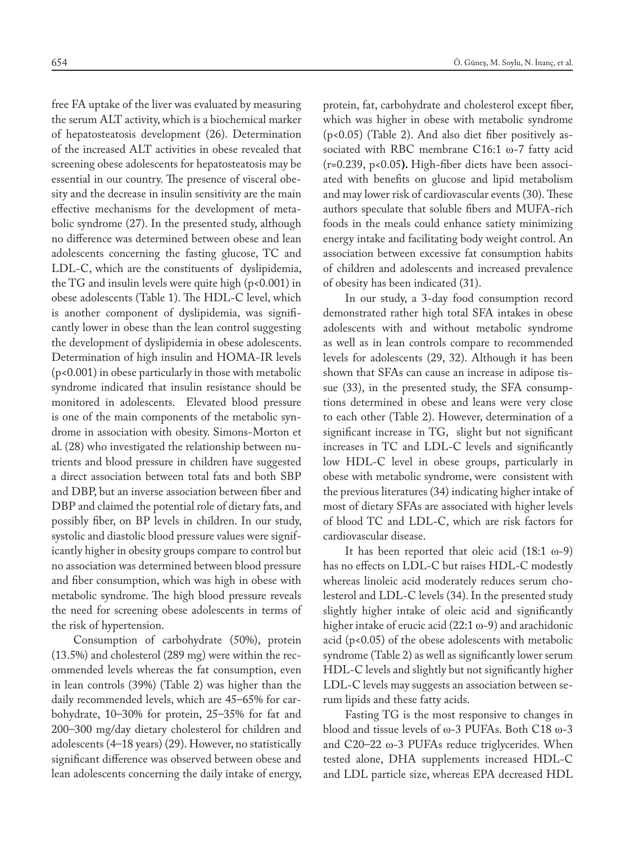free FA uptake of the liver was evaluated by measuring the serum ALT activity, which is a biochemical marker of hepatosteatosis development (26). Determination of the increased ALT activities in obese revealed that screening obese adolescents for hepatosteatosis may be essential in our country. The presence of visceral obesity and the decrease in insulin sensitivity are the main effective mechanisms for the development of metabolic syndrome (27). In the presented study, although no difference was determined between obese and lean adolescents concerning the fasting glucose, TC and LDL-C, which are the constituents of dyslipidemia, the TG and insulin levels were quite high (p<0.001) in obese adolescents (Table 1). The HDL-C level, which is another component of dyslipidemia, was significantly lower in obese than the lean control suggesting the development of dyslipidemia in obese adolescents. Determination of high insulin and HOMA-IR levels (p<0.001) in obese particularly in those with metabolic syndrome indicated that insulin resistance should be monitored in adolescents. Elevated blood pressure is one of the main components of the metabolic syndrome in association with obesity. Simons-Morton et al. (28) who investigated the relationship between nutrients and blood pressure in children have suggested a direct association between total fats and both SBP and DBP, but an inverse association between fiber and DBP and claimed the potential role of dietary fats, and possibly fiber, on BP levels in children. In our study, systolic and diastolic blood pressure values were significantly higher in obesity groups compare to control but no association was determined between blood pressure and fiber consumption, which was high in obese with metabolic syndrome. The high blood pressure reveals the need for screening obese adolescents in terms of the risk of hypertension.

Consumption of carbohydrate (50%), protein (13.5%) and cholesterol (289 mg) were within the recommended levels whereas the fat consumption, even in lean controls (39%) (Table 2) was higher than the daily recommended levels, which are 45–65% for carbohydrate, 10–30% for protein, 25–35% for fat and 200–300 mg/day dietary cholesterol for children and adolescents (4–18 years) (29). However, no statistically significant difference was observed between obese and lean adolescents concerning the daily intake of energy,

protein, fat, carbohydrate and cholesterol except fiber, which was higher in obese with metabolic syndrome (p<0.05) (Table 2). And also diet fiber positively associated with RBC membrane C16:1 ω-7 fatty acid (r=0.239, p<0.05**).** High-fiber diets have been associated with benefits on glucose and lipid metabolism and may lower risk of cardiovascular events (30). These authors speculate that soluble fibers and MUFA-rich foods in the meals could enhance satiety minimizing energy intake and facilitating body weight control. An association between excessive fat consumption habits of children and adolescents and increased prevalence of obesity has been indicated (31).

In our study, a 3-day food consumption record demonstrated rather high total SFA intakes in obese adolescents with and without metabolic syndrome as well as in lean controls compare to recommended levels for adolescents (29, 32). Although it has been shown that SFAs can cause an increase in adipose tissue (33), in the presented study, the SFA consumptions determined in obese and leans were very close to each other (Table 2). However, determination of a significant increase in TG, slight but not significant increases in TC and LDL-C levels and significantly low HDL-C level in obese groups, particularly in obese with metabolic syndrome, were consistent with the previous literatures (34) indicating higher intake of most of dietary SFAs are associated with higher levels of blood TC and LDL-C, which are risk factors for cardiovascular disease.

It has been reported that oleic acid (18:1 ω-9) has no effects on LDL-C but raises HDL-C modestly whereas linoleic acid moderately reduces serum cholesterol and LDL-C levels (34). In the presented study slightly higher intake of oleic acid and significantly higher intake of erucic acid (22:1 ω-9) and arachidonic acid  $(p<0.05)$  of the obese adolescents with metabolic syndrome (Table 2) as well as significantly lower serum HDL-C levels and slightly but not significantly higher LDL-C levels may suggests an association between serum lipids and these fatty acids.

Fasting TG is the most responsive to changes in blood and tissue levels of ω-3 PUFAs. Both C18 ω-3 and C20–22 ω-3 PUFAs reduce triglycerides. When tested alone, DHA supplements increased HDL-C and LDL particle size, whereas EPA decreased HDL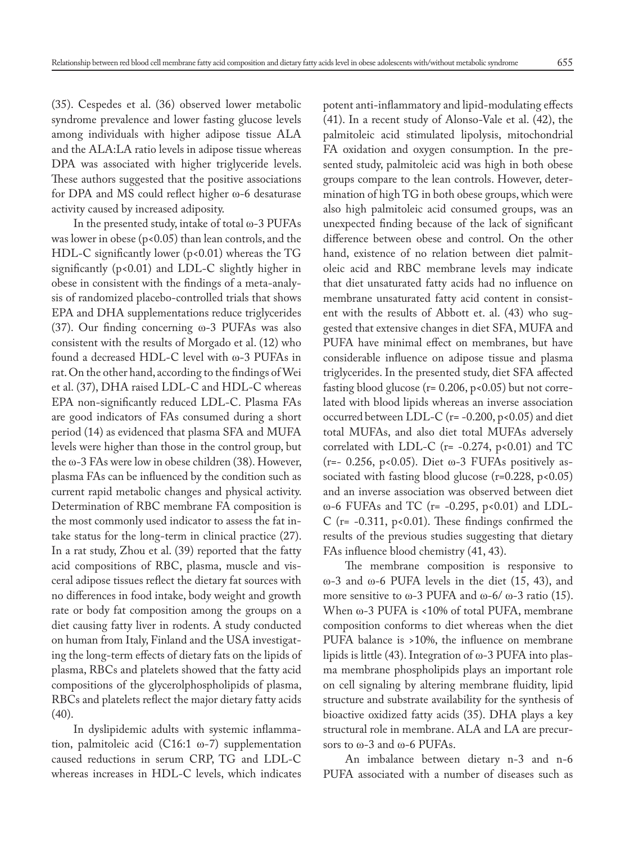(35). Cespedes et al. (36) observed lower metabolic syndrome prevalence and lower fasting glucose levels among individuals with higher adipose tissue ALA and the ALA:LA ratio levels in adipose tissue whereas DPA was associated with higher triglyceride levels. These authors suggested that the positive associations for DPA and MS could reflect higher ω-6 desaturase activity caused by increased adiposity.

In the presented study, intake of total  $\omega$ -3 PUFAs was lower in obese ( $p$ <0.05) than lean controls, and the HDL-C significantly lower (p<0.01) whereas the TG significantly  $(p<0.01)$  and LDL-C slightly higher in obese in consistent with the findings of a meta-analysis of randomized placebo-controlled trials that shows EPA and DHA supplementations reduce triglycerides (37). Our finding concerning ω-3 PUFAs was also consistent with the results of Morgado et al. (12) who found a decreased HDL-C level with ω-3 PUFAs in rat. On the other hand, according to the findings of Wei et al. (37), DHA raised LDL-C and HDL-C whereas EPA non-significantly reduced LDL-C. Plasma FAs are good indicators of FAs consumed during a short period (14) as evidenced that plasma SFA and MUFA levels were higher than those in the control group, but the ω-3 FAs were low in obese children (38). However, plasma FAs can be influenced by the condition such as current rapid metabolic changes and physical activity. Determination of RBC membrane FA composition is the most commonly used indicator to assess the fat intake status for the long-term in clinical practice (27). In a rat study, Zhou et al. (39) reported that the fatty acid compositions of RBC, plasma, muscle and visceral adipose tissues reflect the dietary fat sources with no differences in food intake, body weight and growth rate or body fat composition among the groups on a diet causing fatty liver in rodents. A study conducted on human from Italy, Finland and the USA investigating the long-term effects of dietary fats on the lipids of plasma, RBCs and platelets showed that the fatty acid compositions of the glycerolphospholipids of plasma, RBCs and platelets reflect the major dietary fatty acids (40).

In dyslipidemic adults with systemic inflammation, palmitoleic acid (C16:1 ω-7) supplementation caused reductions in serum CRP, TG and LDL-C whereas increases in HDL-C levels, which indicates potent anti-inflammatory and lipid-modulating effects (41). In a recent study of Alonso-Vale et al. (42), the palmitoleic acid stimulated lipolysis, mitochondrial FA oxidation and oxygen consumption. In the presented study, palmitoleic acid was high in both obese groups compare to the lean controls. However, determination of high TG in both obese groups, which were also high palmitoleic acid consumed groups, was an unexpected finding because of the lack of significant difference between obese and control. On the other hand, existence of no relation between diet palmitoleic acid and RBC membrane levels may indicate that diet unsaturated fatty acids had no influence on membrane unsaturated fatty acid content in consistent with the results of Abbott et. al. (43) who suggested that extensive changes in diet SFA, MUFA and PUFA have minimal effect on membranes, but have considerable influence on adipose tissue and plasma triglycerides. In the presented study, diet SFA affected fasting blood glucose ( $r = 0.206$ ,  $p < 0.05$ ) but not correlated with blood lipids whereas an inverse association occurred between LDL-C ( $r = -0.200$ ,  $p < 0.05$ ) and diet total MUFAs, and also diet total MUFAs adversely correlated with LDL-C ( $r = -0.274$ ,  $p < 0.01$ ) and TC (r=- 0.256, p<0.05). Diet  $\omega$ -3 FUFAs positively associated with fasting blood glucose  $(r=0.228, p<0.05)$ and an inverse association was observed between diet ω-6 FUFAs and TC (r= -0.295, p<0.01) and LDL-C ( $r = -0.311$ ,  $p < 0.01$ ). These findings confirmed the results of the previous studies suggesting that dietary FAs influence blood chemistry (41, 43).

The membrane composition is responsive to ω-3 and ω-6 PUFA levels in the diet (15, 43), and more sensitive to  $\omega$ -3 PUFA and  $\omega$ -6/ $\omega$ -3 ratio (15). When ω-3 PUFA is <10% of total PUFA, membrane composition conforms to diet whereas when the diet PUFA balance is >10%, the influence on membrane lipids is little (43). Integration of ω-3 PUFA into plasma membrane phospholipids plays an important role on cell signaling by altering membrane fluidity, lipid structure and substrate availability for the synthesis of bioactive oxidized fatty acids (35). DHA plays a key structural role in membrane. ALA and LA are precursors to ω-3 and ω-6 PUFAs.

An imbalance between dietary n-3 and n-6 PUFA associated with a number of diseases such as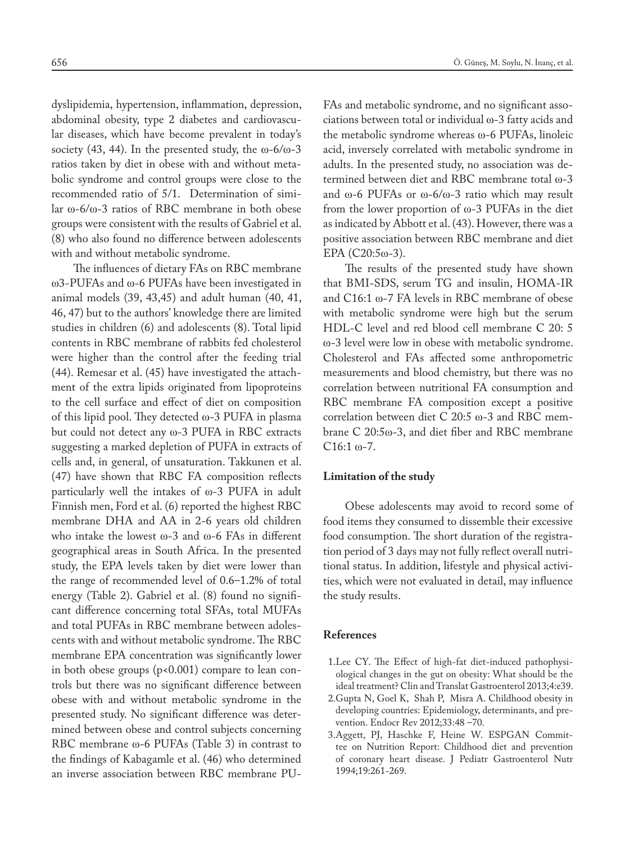dyslipidemia, hypertension, inflammation, depression, abdominal obesity, type 2 diabetes and cardiovascular diseases, which have become prevalent in today's society (43, 44). In the presented study, the  $\omega$ -6/ $\omega$ -3 ratios taken by diet in obese with and without metabolic syndrome and control groups were close to the recommended ratio of 5/1. Determination of similar ω-6/ω-3 ratios of RBC membrane in both obese groups were consistent with the results of Gabriel et al. (8) who also found no difference between adolescents with and without metabolic syndrome.

The influences of dietary FAs on RBC membrane ω3-PUFAs and ω-6 PUFAs have been investigated in animal models (39, 43,45) and adult human (40, 41, 46, 47) but to the authors' knowledge there are limited studies in children (6) and adolescents (8). Total lipid contents in RBC membrane of rabbits fed cholesterol were higher than the control after the feeding trial (44). Remesar et al. (45) have investigated the attachment of the extra lipids originated from lipoproteins to the cell surface and effect of diet on composition of this lipid pool. They detected ω-3 PUFA in plasma but could not detect any ω-3 PUFA in RBC extracts suggesting a marked depletion of PUFA in extracts of cells and, in general, of unsaturation. Takkunen et al. (47) have shown that RBC FA composition reflects particularly well the intakes of ω-3 PUFA in adult Finnish men, Ford et al. (6) reported the highest RBC membrane DHA and AA in 2-6 years old children who intake the lowest  $\omega$ -3 and  $\omega$ -6 FAs in different geographical areas in South Africa. In the presented study, the EPA levels taken by diet were lower than the range of recommended level of 0.6–1.2% of total energy (Table 2). Gabriel et al. (8) found no significant difference concerning total SFAs, total MUFAs and total PUFAs in RBC membrane between adolescents with and without metabolic syndrome. The RBC membrane EPA concentration was significantly lower in both obese groups (p<0.001) compare to lean controls but there was no significant difference between obese with and without metabolic syndrome in the presented study. No significant difference was determined between obese and control subjects concerning RBC membrane ω-6 PUFAs (Table 3) in contrast to the findings of Kabagamle et al. (46) who determined an inverse association between RBC membrane PU-

FAs and metabolic syndrome, and no significant associations between total or individual ω-3 fatty acids and the metabolic syndrome whereas ω-6 PUFAs, linoleic acid, inversely correlated with metabolic syndrome in adults. In the presented study, no association was determined between diet and RBC membrane total ω-3 and ω-6 PUFAs or ω-6/ω-3 ratio which may result from the lower proportion of ω-3 PUFAs in the diet as indicated by Abbott et al. (43). However, there was a positive association between RBC membrane and diet EPA (C20:5ω-3).

The results of the presented study have shown that BMI-SDS, serum TG and insulin, HOMA-IR and C16:1 ω-7 FA levels in RBC membrane of obese with metabolic syndrome were high but the serum HDL-C level and red blood cell membrane C 20: 5 ω-3 level were low in obese with metabolic syndrome. Cholesterol and FAs affected some anthropometric measurements and blood chemistry, but there was no correlation between nutritional FA consumption and RBC membrane FA composition except a positive correlation between diet C 20:5 ω-3 and RBC membrane C 20:5ω-3, and diet fiber and RBC membrane C16:1 ω-7.

#### **Limitation of the study**

Obese adolescents may avoid to record some of food items they consumed to dissemble their excessive food consumption. The short duration of the registration period of 3 days may not fully reflect overall nutritional status. In addition, lifestyle and physical activities, which were not evaluated in detail, may influence the study results.

#### **References**

- 1.Lee CY. The Effect of high-fat diet-induced pathophysiological changes in the gut on obesity: What should be the ideal treatment? Clin and Translat Gastroenterol 2013;4:e39.
- 2.Gupta N, Goel K, Shah P, Misra A. Childhood obesity in developing countries: Epidemiology, determinants, and prevention. Endocr Rev 2012;33:48 –70.
- 3.Aggett, PJ, Haschke F, Heine W. ESPGAN Committee on Nutrition Report: Childhood diet and prevention of coronary heart disease. J Pediatr Gastroenterol Nutr 1994;19:261-269.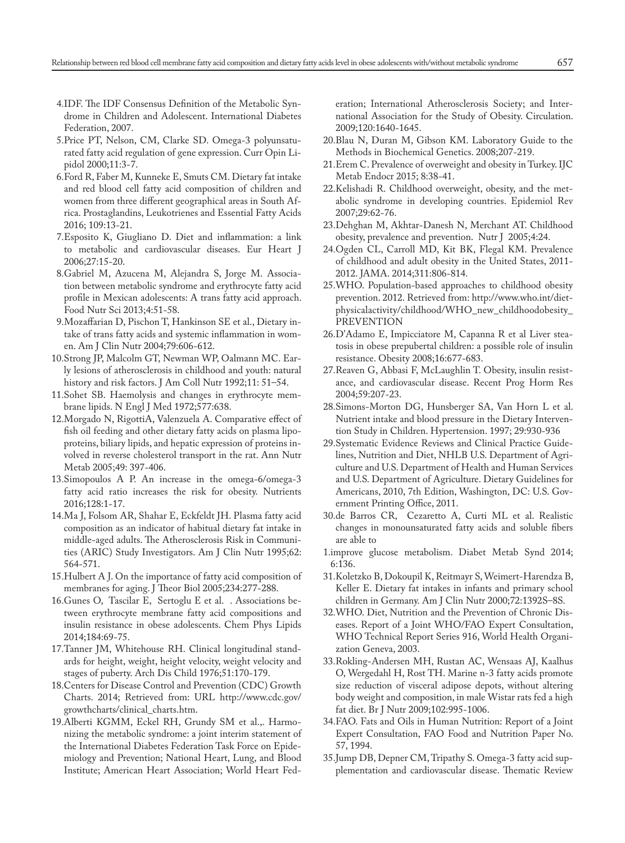- 4.IDF. The IDF Consensus Definition of the Metabolic Syndrome in Children and Adolescent. International Diabetes Federation, 2007.
- 5.Price PT, Nelson, CM, Clarke SD. Omega-3 polyunsaturated fatty acid regulation of gene expression. Curr Opin Lipidol 2000;11:3-7.
- 6.Ford R, Faber M, Kunneke E, Smuts CM. Dietary fat intake and red blood cell fatty acid composition of children and women from three different geographical areas in South Africa. Prostaglandins, Leukotrienes and Essential Fatty Acids 2016; 109:13-21.
- 7.Esposito K, Giugliano D. Diet and inflammation: a link to metabolic and cardiovascular diseases. Eur Heart J 2006;27:15-20.
- 8.Gabriel M, Azucena M, Alejandra S, Jorge M. Association between metabolic syndrome and erythrocyte fatty acid profile in Mexican adolescents: A trans fatty acid approach. Food Nutr Sci 2013;4:51-58.
- 9.Mozaffarian D, Pischon T, Hankinson SE et al., Dietary intake of trans fatty acids and systemic inflammation in women. Am J Clin Nutr 2004;79:606-612.
- 10.Strong JP, Malcolm GT, Newman WP, Oalmann MC. Early lesions of atherosclerosis in childhood and youth: natural history and risk factors. J Am Coll Nutr 1992;11: 51–54.
- 11.Sohet SB. Haemolysis and changes in erythrocyte membrane lipids. N Engl J Med 1972;577:638.
- 12.Morgado N, RigottiA, Valenzuela A. Comparative effect of fish oil feeding and other dietary fatty acids on plasma lipoproteins, biliary lipids, and hepatic expression of proteins involved in reverse cholesterol transport in the rat. Ann Nutr Metab 2005;49: 397-406.
- 13.Simopoulos A P. An increase in the omega-6/omega-3 fatty acid ratio increases the risk for obesity. Nutrients 2016;128:1-17.
- 14.Ma J, Folsom AR, Shahar E, Eckfeldt JH. Plasma fatty acid composition as an indicator of habitual dietary fat intake in middle-aged adults. The Atherosclerosis Risk in Communities (ARIC) Study Investigators. Am J Clin Nutr 1995;62: 564-571.
- 15.Hulbert A J. On the importance of fatty acid composition of membranes for aging. J Theor Biol 2005;234:277-288.
- 16.Gunes O, Tascilar E, Sertoglu E et al. . Associations between erythrocyte membrane fatty acid compositions and insulin resistance in obese adolescents. Chem Phys Lipids 2014;184:69-75.
- 17.Tanner JM, Whitehouse RH. Clinical longitudinal standards for height, weight, height velocity, weight velocity and stages of puberty. Arch Dis Child 1976;51:170-179.
- 18.Centers for Disease Control and Prevention (CDC) Growth Charts. 2014; Retrieved from: URL http://www.cdc.gov/ growthcharts/clinical\_charts.htm.
- 19.Alberti KGMM, Eckel RH, Grundy SM et al.,. Harmonizing the metabolic syndrome: a joint interim statement of the International Diabetes Federation Task Force on Epidemiology and Prevention; National Heart, Lung, and Blood Institute; American Heart Association; World Heart Fed-

eration; International Atherosclerosis Society; and International Association for the Study of Obesity. Circulation. 2009;120:1640-1645.

- 20.Blau N, Duran M, Gibson KM. Laboratory Guide to the Methods in Biochemical Genetics. 2008;207-219.
- 21.Erem C. Prevalence of overweight and obesity in Turkey. IJC Metab Endocr 2015; 8:38-41.
- 22.Kelishadi R. Childhood overweight, obesity, and the metabolic syndrome in developing countries. Epidemiol Rev 2007;29:62-76.
- 23.Dehghan M, Akhtar-Danesh N, Merchant AT. Childhood obesity, prevalence and prevention. Nutr J 2005;4:24.
- 24.Ogden CL, Carroll MD, Kit BK, Flegal KM. Prevalence of childhood and adult obesity in the United States, 2011- 2012. JAMA. 2014;311:806-814.
- 25.WHO. Population-based approaches to childhood obesity prevention. 2012. Retrieved from: http://www.who.int/dietphysicalactivity/childhood/WHO\_new\_childhoodobesity\_ PREVENTION
- 26.D'Adamo E, Impicciatore M, Capanna R et al Liver steatosis in obese prepubertal children: a possible role of insulin resistance. Obesity 2008;16:677-683.
- 27.Reaven G, Abbasi F, McLaughlin T. Obesity, insulin resistance, and cardiovascular disease. Recent Prog Horm Res 2004;59:207-23.
- 28.Simons-Morton DG, Hunsberger SA, Van Horn L et al. Nutrient intake and blood pressure in the Dietary Intervention Study in Children. Hypertension. 1997; 29:930-936
- 29.Systematic Evidence Reviews and Clinical Practice Guidelines, Nutrition and Diet, NHLB U.S. Department of Agriculture and U.S. Department of Health and Human Services and U.S. Department of Agriculture. Dietary Guidelines for Americans, 2010, 7th Edition, Washington, DC: U.S. Government Printing Office, 2011.
- 30.de Barros CR, Cezaretto A, Curti ML et al. Realistic changes in monounsaturated fatty acids and soluble fibers are able to
- 1.improve glucose metabolism. Diabet Metab Synd 2014; 6:136.
- 31.Koletzko B, Dokoupil K, Reitmayr S, Weimert-Harendza B, Keller E. Dietary fat intakes in infants and primary school children in Germany. Am J Clin Nutr 2000;72:1392S–8S.
- 32.WHO. Diet, Nutrition and the Prevention of Chronic Diseases. Report of a Joint WHO/FAO Expert Consultation, WHO Technical Report Series 916, World Health Organization Geneva, 2003.
- 33.Rokling-Andersen MH, Rustan AC, Wensaas AJ, Kaalhus O, Wergedahl H, Rost TH. Marine n-3 fatty acids promote size reduction of visceral adipose depots, without altering body weight and composition, in male Wistar rats fed a high fat diet. Br J Nutr 2009;102:995-1006.
- 34.FAO. Fats and Oils in Human Nutrition: Report of a Joint Expert Consultation, FAO Food and Nutrition Paper No. 57, 1994.
- 35.Jump DB, Depner CM, Tripathy S. Omega-3 fatty acid supplementation and cardiovascular disease. Thematic Review